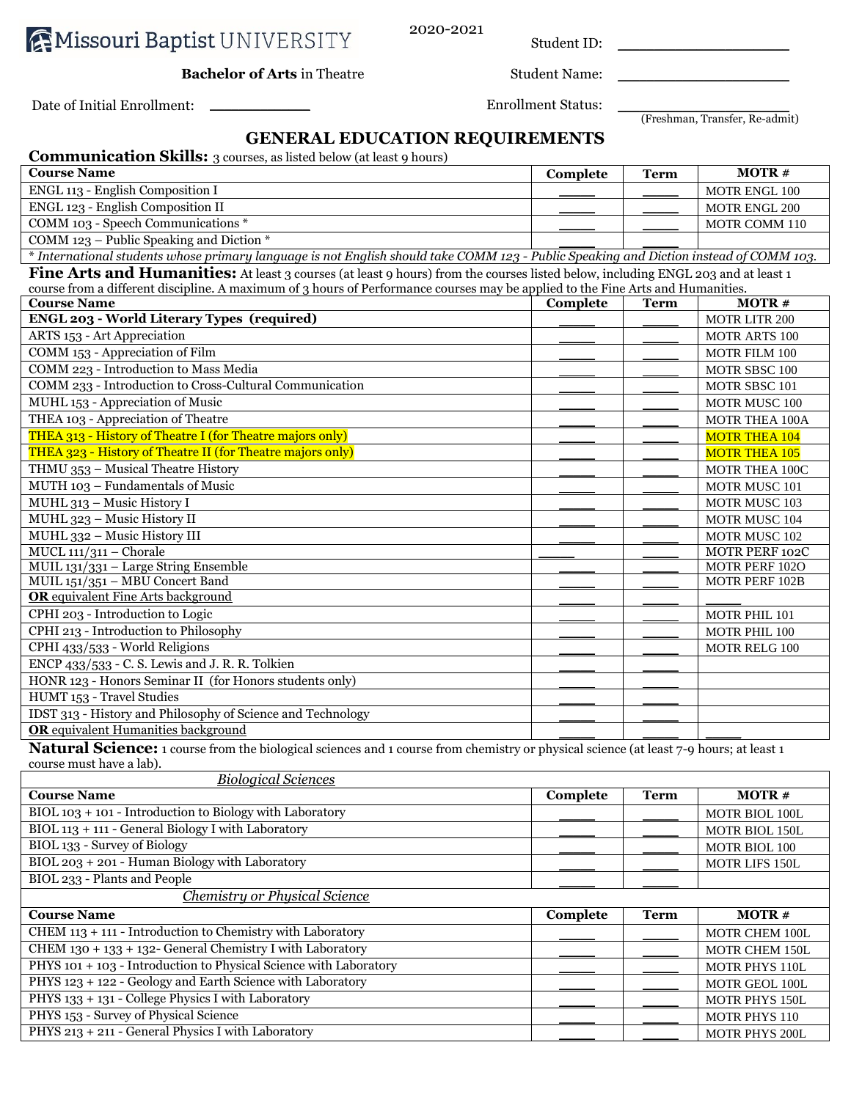|  |  | <b>AMissouri Baptist UNIVERSITY</b> |
|--|--|-------------------------------------|
|--|--|-------------------------------------|

2020-2021

Student ID: \_\_\_\_\_\_\_\_\_\_\_\_\_\_\_\_\_\_\_\_\_\_\_\_

**Bachelor of Arts** in Theatre Student Name:

(Freshman, Transfer, Re-admit)

## **GENERAL EDUCATION REQUIREMENTS**

| <b>Communication Skills:</b> 3 courses, as listed below (at least 9 hours)                                                                                         |          |             |                       |
|--------------------------------------------------------------------------------------------------------------------------------------------------------------------|----------|-------------|-----------------------|
| <b>Course Name</b>                                                                                                                                                 | Complete | <b>Term</b> | <b>MOTR#</b>          |
| ENGL 113 - English Composition I                                                                                                                                   |          |             | MOTR ENGL 100         |
| ENGL 123 - English Composition II                                                                                                                                  |          |             | <b>MOTR ENGL 200</b>  |
| COMM 103 - Speech Communications *                                                                                                                                 |          |             | <b>MOTR COMM 110</b>  |
| COMM 123 – Public Speaking and Diction $*$                                                                                                                         |          |             |                       |
| * International students whose primary language is not English should take COMM 123 - Public Speaking and Diction instead of COMM 103.                             |          |             |                       |
| Fine Arts and Humanities: At least 3 courses (at least 9 hours) from the courses listed below, including ENGL 203 and at least 1                                   |          |             |                       |
| course from a different discipline. A maximum of 3 hours of Performance courses may be applied to the Fine Arts and Humanities.                                    |          |             |                       |
| <b>Course Name</b>                                                                                                                                                 | Complete | <b>Term</b> | <b>MOTR#</b>          |
| <b>ENGL 203 - World Literary Types (required)</b>                                                                                                                  |          |             | <b>MOTR LITR 200</b>  |
| ARTS 153 - Art Appreciation                                                                                                                                        |          |             | MOTR ARTS 100         |
| COMM 153 - Appreciation of Film                                                                                                                                    |          |             | <b>MOTR FILM 100</b>  |
| COMM 223 - Introduction to Mass Media                                                                                                                              |          |             | MOTR SBSC 100         |
| COMM 233 - Introduction to Cross-Cultural Communication                                                                                                            |          |             | <b>MOTR SBSC 101</b>  |
| MUHL 153 - Appreciation of Music                                                                                                                                   |          |             | MOTR MUSC 100         |
| THEA 103 - Appreciation of Theatre                                                                                                                                 |          |             | <b>MOTR THEA 100A</b> |
| THEA 313 - History of Theatre I (for Theatre majors only)                                                                                                          |          |             | <b>MOTR THEA 104</b>  |
| THEA 323 - History of Theatre II (for Theatre majors only)                                                                                                         |          |             | <b>MOTR THEA 105</b>  |
| THMU 353 - Musical Theatre History                                                                                                                                 |          |             | <b>MOTR THEA 100C</b> |
| MUTH 103 - Fundamentals of Music                                                                                                                                   |          |             | MOTR MUSC 101         |
| MUHL 313 - Music History I                                                                                                                                         |          |             | <b>MOTR MUSC 103</b>  |
| MUHL 323 - Music History II                                                                                                                                        |          |             | MOTR MUSC 104         |
| MUHL 332 - Music History III                                                                                                                                       |          |             | MOTR MUSC 102         |
| $MUCL$ 111/311 - Chorale                                                                                                                                           |          |             | MOTR PERF 102C        |
| MUIL 131/331 - Large String Ensemble                                                                                                                               |          |             | MOTR PERF 102O        |
| MUIL 151/351 - MBU Concert Band                                                                                                                                    |          |             | MOTR PERF 102B        |
| <b>OR</b> equivalent Fine Arts background                                                                                                                          |          |             |                       |
| CPHI 203 - Introduction to Logic                                                                                                                                   |          |             | MOTR PHIL 101         |
| CPHI 213 - Introduction to Philosophy                                                                                                                              |          |             | MOTR PHIL 100         |
| CPHI 433/533 - World Religions                                                                                                                                     |          |             | <b>MOTR RELG 100</b>  |
| ENCP 433/533 - C. S. Lewis and J. R. R. Tolkien                                                                                                                    |          |             |                       |
| HONR 123 - Honors Seminar II (for Honors students only)                                                                                                            |          |             |                       |
| HUMT 153 - Travel Studies                                                                                                                                          |          |             |                       |
| IDST 313 - History and Philosophy of Science and Technology                                                                                                        |          |             |                       |
| <b>OR</b> equivalent Humanities background                                                                                                                         |          |             |                       |
| Natural Science: 1 course from the biological sciences and 1 course from chemistry or physical science (at least 7-9 hours; at least 1<br>course much hours a lab) |          |             |                       |

course must have a lab).

| <b>Biological Sciences</b>                                        |          |             |                       |
|-------------------------------------------------------------------|----------|-------------|-----------------------|
| <b>Course Name</b>                                                | Complete | <b>Term</b> | $MOTR \#$             |
| BIOL 103 + 101 - Introduction to Biology with Laboratory          |          |             | MOTR BIOL 100L        |
| BIOL 113 + 111 - General Biology I with Laboratory                |          |             | MOTR BIOL 150L        |
| BIOL 133 - Survey of Biology                                      |          |             | MOTR BIOL 100         |
| BIOL 203 + 201 - Human Biology with Laboratory                    |          |             | <b>MOTR LIFS 150L</b> |
| BIOL 233 - Plants and People                                      |          |             |                       |
| Chemistry or Physical Science                                     |          |             |                       |
| <b>Course Name</b>                                                | Complete | <b>Term</b> | MOTR#                 |
| CHEM 113 + 111 - Introduction to Chemistry with Laboratory        |          |             | <b>MOTR CHEM 100L</b> |
| CHEM 130 + 133 + 132- General Chemistry I with Laboratory         |          |             | <b>MOTR CHEM 150L</b> |
| PHYS 101 + 103 - Introduction to Physical Science with Laboratory |          |             | <b>MOTR PHYS 110L</b> |
| PHYS 123 + 122 - Geology and Earth Science with Laboratory        |          |             | <b>MOTR GEOL 100L</b> |
| PHYS $133 + 131 -$ College Physics I with Laboratory              |          |             | <b>MOTR PHYS 150L</b> |
| PHYS 153 - Survey of Physical Science                             |          |             | <b>MOTR PHYS 110</b>  |
| PHYS 213 + 211 - General Physics I with Laboratory                |          |             | <b>MOTR PHYS 200L</b> |

Date of Initial Enrollment: \_\_\_\_\_\_\_\_\_\_\_\_\_\_ Enrollment Status: \_\_\_\_\_\_\_\_\_\_\_\_\_\_\_\_\_\_\_\_\_\_\_\_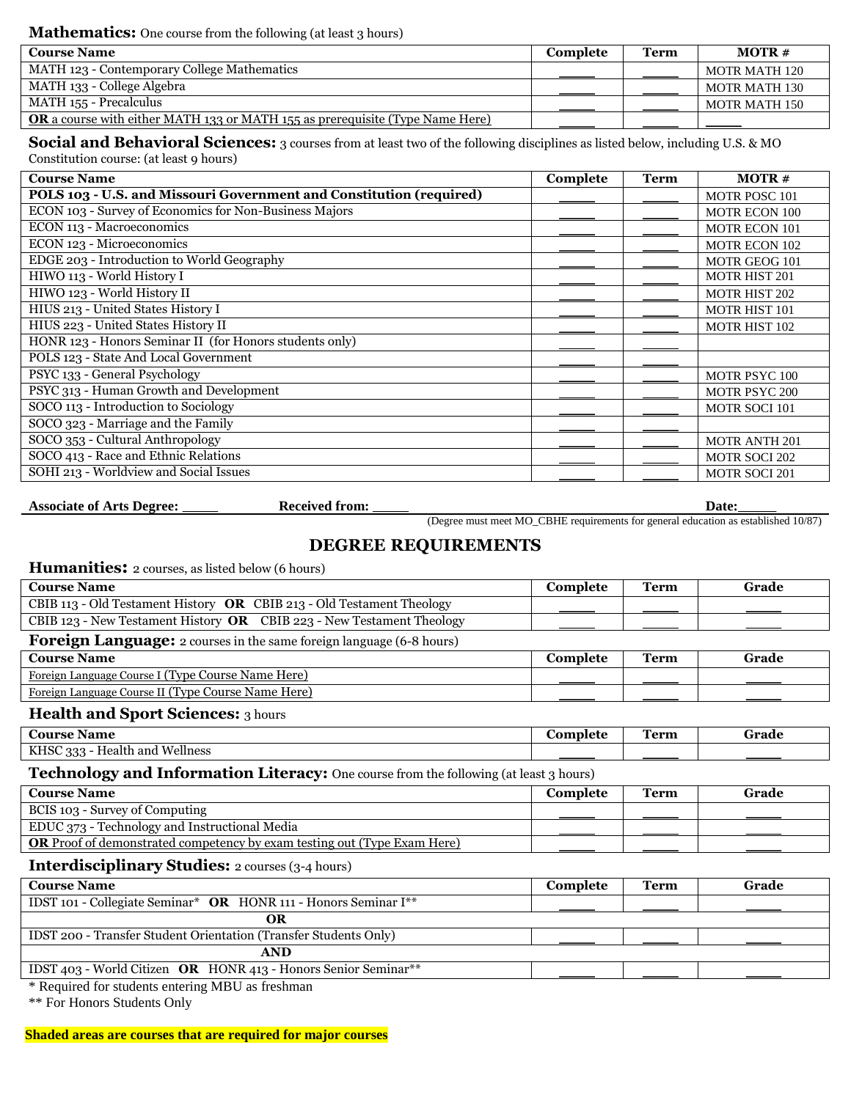**Mathematics:** One course from the following (at least 3 hours)

| <b>Course Name</b>                                                                   | Complete | Term | $MOTR \#$     |
|--------------------------------------------------------------------------------------|----------|------|---------------|
| MATH 123 - Contemporary College Mathematics                                          |          |      | MOTR MATH 120 |
| MATH 133 - College Algebra                                                           |          |      | MOTR MATH 130 |
| MATH 155 - Precalculus                                                               |          |      | MOTR MATH 150 |
| <b>OR</b> a course with either MATH 133 or MATH 155 as prerequisite (Type Name Here) |          |      |               |

**Social and Behavioral Sciences:** 3 courses from at least two of the following disciplines as listed below, including U.S. & MO Constitution course: (at least 9 hours)

| <b>Course Name</b>                                                  | Complete | <b>Term</b> | $MOTR \#$            |
|---------------------------------------------------------------------|----------|-------------|----------------------|
| POLS 103 - U.S. and Missouri Government and Constitution (required) |          |             | <b>MOTR POSC 101</b> |
| ECON 103 - Survey of Economics for Non-Business Majors              |          |             | <b>MOTR ECON 100</b> |
| ECON 113 - Macroeconomics                                           |          |             | <b>MOTR ECON 101</b> |
| ECON 123 - Microeconomics                                           |          |             | <b>MOTR ECON 102</b> |
| EDGE 203 - Introduction to World Geography                          |          |             | MOTR GEOG 101        |
| HIWO 113 - World History I                                          |          |             | <b>MOTR HIST 201</b> |
| HIWO 123 - World History II                                         |          |             | <b>MOTR HIST 202</b> |
| HIUS 213 - United States History I                                  |          |             | <b>MOTR HIST 101</b> |
| HIUS 223 - United States History II                                 |          |             | <b>MOTR HIST 102</b> |
| HONR 123 - Honors Seminar II (for Honors students only)             |          |             |                      |
| POLS 123 - State And Local Government                               |          |             |                      |
| PSYC 133 - General Psychology                                       |          |             | MOTR PSYC 100        |
| PSYC 313 - Human Growth and Development                             |          |             | <b>MOTR PSYC 200</b> |
| SOCO 113 - Introduction to Sociology                                |          |             | <b>MOTR SOCI 101</b> |
| SOCO 323 - Marriage and the Family                                  |          |             |                      |
| SOCO 353 - Cultural Anthropology                                    |          |             | <b>MOTR ANTH 201</b> |
| SOCO 413 - Race and Ethnic Relations                                |          |             | <b>MOTR SOCI 202</b> |
| SOHI 213 - Worldview and Social Issues                              |          |             | <b>MOTR SOCI 201</b> |

**Associate of Arts Degree:** \_\_\_\_\_ **Received from:** \_\_\_\_\_ **Date:** \_\_\_\_\_

(Degree must meet MO\_CBHE requirements for general education as established 10/87)

## **DEGREE REQUIREMENTS**

**Humanities:** 2 courses, as listed below (6 hours)

| <b>Course Name</b>                                                                           | Complete | <b>Term</b> | Grade |
|----------------------------------------------------------------------------------------------|----------|-------------|-------|
| CBIB 113 - Old Testament History OR CBIB 213 - Old Testament Theology                        |          |             |       |
| CBIB 123 - New Testament History OR CBIB 223 - New Testament Theology                        |          |             |       |
| <b>Foreign Language:</b> 2 courses in the same foreign language (6-8 hours)                  |          |             |       |
| <b>Course Name</b>                                                                           | Complete | <b>Term</b> | Grade |
| Foreign Language Course I (Type Course Name Here)                                            |          |             |       |
| Foreign Language Course II (Type Course Name Here)                                           |          |             |       |
| <b>Health and Sport Sciences:</b> 3 hours                                                    |          |             |       |
| <b>Course Name</b>                                                                           | Complete | <b>Term</b> | Grade |
| KHSC 333 - Health and Wellness                                                               |          |             |       |
| <b>Technology and Information Literacy:</b> One course from the following (at least 3 hours) |          |             |       |
| <b>Course Name</b>                                                                           | Complete | <b>Term</b> | Grade |
| BCIS 103 - Survey of Computing                                                               |          |             |       |
| EDUC 373 - Technology and Instructional Media                                                |          |             |       |
| <b>OR</b> Proof of demonstrated competency by exam testing out (Type Exam Here)              |          |             |       |
| <b>Interdisciplinary Studies:</b> 2 courses (3-4 hours)                                      |          |             |       |
| <b>Course Name</b>                                                                           | Complete | <b>Term</b> | Grade |
| IDST 101 - Collegiate Seminar* OR HONR 111 - Honors Seminar I**                              |          |             |       |
| <b>OR</b>                                                                                    |          |             |       |
| IDST 200 - Transfer Student Orientation (Transfer Students Only)                             |          |             |       |
| <b>AND</b>                                                                                   |          |             |       |

IDST 403 - World Citizen OR HONR 413 - Honors Senior Seminar<sup>\*\*</sup>

\* Required for students entering MBU as freshman

\*\* For Honors Students Only